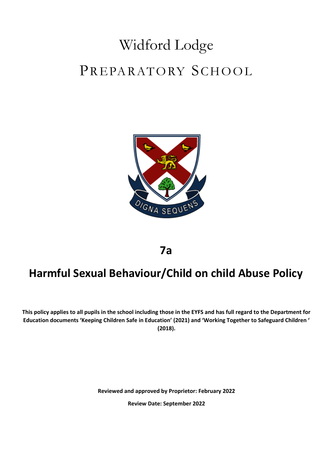# Widford Lodge PREPARATORY SCHOOL



**7a**

# **Harmful Sexual Behaviour/Child on child Abuse Policy**

**This policy applies to all pupils in the school including those in the EYFS and has full regard to the Department for Education documents 'Keeping Children Safe in Education' (2021) and 'Working Together to Safeguard Children ' (2018).**

**Reviewed and approved by Proprietor: February 2022**

**Review Date: September 2022**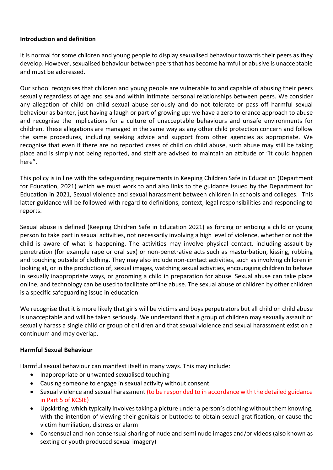#### **Introduction and definition**

It is normal for some children and young people to display sexualised behaviour towards their peers as they develop. However, sexualised behaviour between peers that has become harmful or abusive is unacceptable and must be addressed.

Our school recognises that children and young people are vulnerable to and capable of abusing their peers sexually regardless of age and sex and within intimate personal relationships between peers. We consider any allegation of child on child sexual abuse seriously and do not tolerate or pass off harmful sexual behaviour as banter, just having a laugh or part of growing up: we have a zero tolerance approach to abuse and recognise the implications for a culture of unacceptable behaviours and unsafe environments for children. These allegations are managed in the same way as any other child protection concern and follow the same procedures, including seeking advice and support from other agencies as appropriate. We recognise that even if there are no reported cases of child on child abuse, such abuse may still be taking place and is simply not being reported, and staff are advised to maintain an attitude of "it could happen here".

This policy is in line with the safeguarding requirements in Keeping Children Safe in Education (Department for Education, 2021) which we must work to and also links to the guidance issued by the Department for Education in 2021, Sexual violence and sexual harassment between children in schools and colleges. This latter guidance will be followed with regard to definitions, context, legal responsibilities and responding to reports.

Sexual abuse is defined (Keeping Children Safe in Education 2021) as forcing or enticing a child or young person to take part in sexual activities, not necessarily involving a high level of violence, whether or not the child is aware of what is happening. The activities may involve physical contact, including assault by penetration (for example rape or oral sex) or non-penetrative acts such as masturbation, kissing, rubbing and touching outside of clothing. They may also include non-contact activities, such as involving children in looking at, or in the production of, sexual images, watching sexual activities, encouraging children to behave in sexually inappropriate ways, or grooming a child in preparation for abuse. Sexual abuse can take place online, and technology can be used to facilitate offline abuse. The sexual abuse of children by other children is a specific safeguarding issue in education.

We recognise that it is more likely that girls will be victims and boys perpetrators but all child on child abuse is unacceptable and will be taken seriously. We understand that a group of children may sexually assault or sexually harass a single child or group of children and that sexual violence and sexual harassment exist on a continuum and may overlap.

#### **Harmful Sexual Behaviour**

Harmful sexual behaviour can manifest itself in many ways. This may include:

- Inappropriate or unwanted sexualised touching
- Causing someone to engage in sexual activity without consent
- Sexual violence and sexual harassment (to be responded to in accordance with the detailed guidance in Part 5 of KCSIE)
- Upskirting, which typically involves taking a picture under a person's clothing without them knowing, with the intention of viewing their genitals or buttocks to obtain sexual gratification, or cause the victim humiliation, distress or alarm
- Consensual and non consensual sharing of nude and semi nude images and/or videos (also known as sexting or youth produced sexual imagery)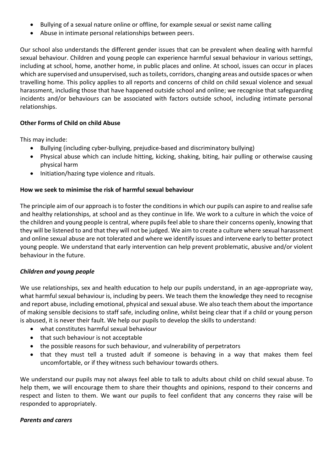- Bullying of a sexual nature online or offline, for example sexual or sexist name calling
- Abuse in intimate personal relationships between peers.

Our school also understands the different gender issues that can be prevalent when dealing with harmful sexual behaviour. Children and young people can experience harmful sexual behaviour in various settings, including at school, home, another home, in public places and online. At school, issues can occur in places which are supervised and unsupervised, such as toilets, corridors, changing areas and outside spaces or when travelling home. This policy applies to all reports and concerns of child on child sexual violence and sexual harassment, including those that have happened outside school and online; we recognise that safeguarding incidents and/or behaviours can be associated with factors outside school, including intimate personal relationships.

#### **Other Forms of Child on child Abuse**

This may include:

- Bullying (including cyber-bullying, prejudice-based and discriminatory bullying)
- Physical abuse which can include hitting, kicking, shaking, biting, hair pulling or otherwise causing physical harm
- Initiation/hazing type violence and rituals.

#### **How we seek to minimise the risk of harmful sexual behaviour**

The principle aim of our approach is to foster the conditions in which our pupils can aspire to and realise safe and healthy relationships, at school and as they continue in life. We work to a culture in which the voice of the children and young people is central, where pupils feel able to share their concerns openly, knowing that they will be listened to and that they will not be judged. We aim to create a culture where sexual harassment and online sexual abuse are not tolerated and where we identify issues and intervene early to better protect young people. We understand that early intervention can help prevent problematic, abusive and/or violent behaviour in the future.

#### *Children and young people*

We use relationships, sex and health education to help our pupils understand, in an age-appropriate way, what harmful sexual behaviour is, including by peers. We teach them the knowledge they need to recognise and report abuse, including emotional, physical and sexual abuse. We also teach them about the importance of making sensible decisions to staff safe, including online, whilst being clear that if a child or young person is abused, it is never their fault. We help our pupils to develop the skills to understand:

- what constitutes harmful sexual behaviour
- that such behaviour is not acceptable
- the possible reasons for such behaviour, and vulnerability of perpetrators
- that they must tell a trusted adult if someone is behaving in a way that makes them feel uncomfortable, or if they witness such behaviour towards others.

We understand our pupils may not always feel able to talk to adults about child on child sexual abuse. To help them, we will encourage them to share their thoughts and opinions, respond to their concerns and respect and listen to them. We want our pupils to feel confident that any concerns they raise will be responded to appropriately.

#### *Parents and carers*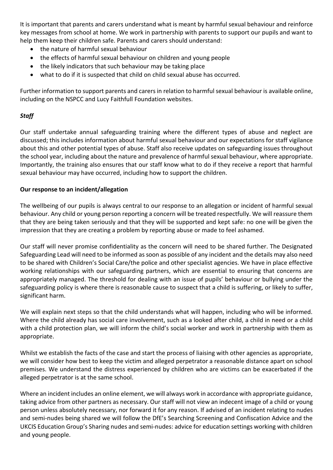It is important that parents and carers understand what is meant by harmful sexual behaviour and reinforce key messages from school at home. We work in partnership with parents to support our pupils and want to help them keep their children safe. Parents and carers should understand:

- the nature of harmful sexual behaviour
- the effects of harmful sexual behaviour on children and young people
- the likely indicators that such behaviour may be taking place
- what to do if it is suspected that child on child sexual abuse has occurred.

Further information to support parents and carers in relation to harmful sexual behaviour is available online, including on the NSPCC and Lucy Faithfull Foundation websites.

## *Staff*

Our staff undertake annual safeguarding training where the different types of abuse and neglect are discussed; this includes information about harmful sexual behaviour and our expectations for staff vigilance about this and other potential types of abuse. Staff also receive updates on safeguarding issues throughout the school year, including about the nature and prevalence of harmful sexual behaviour, where appropriate. Importantly, the training also ensures that our staff know what to do if they receive a report that harmful sexual behaviour may have occurred, including how to support the children.

#### **Our response to an incident/allegation**

The wellbeing of our pupils is always central to our response to an allegation or incident of harmful sexual behaviour. Any child or young person reporting a concern will be treated respectfully. We will reassure them that they are being taken seriously and that they will be supported and kept safe: no one will be given the impression that they are creating a problem by reporting abuse or made to feel ashamed.

Our staff will never promise confidentiality as the concern will need to be shared further. The Designated Safeguarding Lead will need to be informed as soon as possible of any incident and the details may also need to be shared with Children's Social Care/the police and other specialist agencies. We have in place effective working relationships with our safeguarding partners, which are essential to ensuring that concerns are appropriately managed. The threshold for dealing with an issue of pupils' behaviour or bullying under the safeguarding policy is where there is reasonable cause to suspect that a child is suffering, or likely to suffer, significant harm.

We will explain next steps so that the child understands what will happen, including who will be informed. Where the child already has social care involvement, such as a looked after child, a child in need or a child with a child protection plan, we will inform the child's social worker and work in partnership with them as appropriate.

Whilst we establish the facts of the case and start the process of liaising with other agencies as appropriate, we will consider how best to keep the victim and alleged perpetrator a reasonable distance apart on school premises. We understand the distress experienced by children who are victims can be exacerbated if the alleged perpetrator is at the same school.

Where an incident includes an online element, we will always work in accordance with appropriate guidance, taking advice from other partners as necessary. Our staff will not view an indecent image of a child or young person unless absolutely necessary, nor forward it for any reason. If advised of an incident relating to nudes and semi-nudes being shared we will follow the DfE's Searching Screening and Confiscation Advice and the UKCIS Education Group's Sharing nudes and semi-nudes: advice for education settings working with children and young people.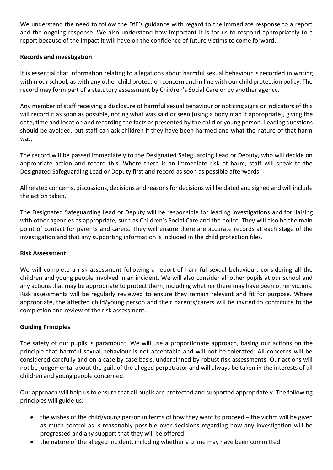We understand the need to follow the DfE's guidance with regard to the immediate response to a report and the ongoing response. We also understand how important it is for us to respond appropriately to a report because of the impact it will have on the confidence of future victims to come forward.

### **Records and investigation**

It is essential that information relating to allegations about harmful sexual behaviour is recorded in writing within our school, as with any other child protection concern and in line with our child protection policy. The record may form part of a statutory assessment by Children's Social Care or by another agency.

Any member of staff receiving a disclosure of harmful sexual behaviour or noticing signs or indicators of this will record it as soon as possible, noting what was said or seen (using a body map if appropriate), giving the date, time and location and recording the facts as presented by the child or young person. Leading questions should be avoided, but staff can ask children if they have been harmed and what the nature of that harm was.

The record will be passed immediately to the Designated Safeguarding Lead or Deputy, who will decide on appropriate action and record this. Where there is an immediate risk of harm, staff will speak to the Designated Safeguarding Lead or Deputy first and record as soon as possible afterwards.

All related concerns, discussions, decisions and reasons for decisions will be dated and signed and will include the action taken.

The Designated Safeguarding Lead or Deputy will be responsible for leading investigations and for liaising with other agencies as appropriate, such as Children's Social Care and the police. They will also be the main point of contact for parents and carers. They will ensure there are accurate records at each stage of the investigation and that any supporting information is included in the child protection files.

#### **Risk Assessment**

We will complete a risk assessment following a report of harmful sexual behaviour, considering all the children and young people involved in an incident. We will also consider all other pupils at our school and any actions that may be appropriate to protect them, including whether there may have been other victims. Risk assessments will be regularly reviewed to ensure they remain relevant and fit for purpose. Where appropriate, the affected child/young person and their parents/carers will be invited to contribute to the completion and review of the risk assessment.

#### **Guiding Principles**

The safety of our pupils is paramount. We will use a proportionate approach, basing our actions on the principle that harmful sexual behaviour is not acceptable and will not be tolerated. All concerns will be considered carefully and on a case by case basis, underpinned by robust risk assessments. Our actions will not be judgemental about the guilt of the alleged perpetrator and will always be taken in the interests of all children and young people concerned.

Our approach will help us to ensure that all pupils are protected and supported appropriately. The following principles will guide us:

- the wishes of the child/young person in terms of how they want to proceed the victim will be given as much control as is reasonably possible over decisions regarding how any investigation will be progressed and any support that they will be offered
- the nature of the alleged incident, including whether a crime may have been committed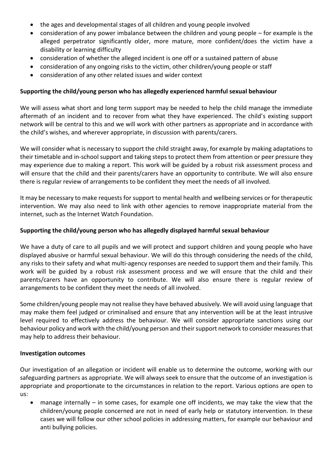- the ages and developmental stages of all children and young people involved
- consideration of any power imbalance between the children and young people for example is the alleged perpetrator significantly older, more mature, more confident/does the victim have a disability or learning difficulty
- consideration of whether the alleged incident is one off or a sustained pattern of abuse
- consideration of any ongoing risks to the victim, other children/young people or staff
- consideration of any other related issues and wider context

#### **Supporting the child/young person who has allegedly experienced harmful sexual behaviour**

We will assess what short and long term support may be needed to help the child manage the immediate aftermath of an incident and to recover from what they have experienced. The child's existing support network will be central to this and we will work with other partners as appropriate and in accordance with the child's wishes, and wherever appropriate, in discussion with parents/carers.

We will consider what is necessary to support the child straight away, for example by making adaptations to their timetable and in-school support and taking steps to protect them from attention or peer pressure they may experience due to making a report. This work will be guided by a robust risk assessment process and will ensure that the child and their parents/carers have an opportunity to contribute. We will also ensure there is regular review of arrangements to be confident they meet the needs of all involved.

It may be necessary to make requests for support to mental health and wellbeing services or for therapeutic intervention. We may also need to link with other agencies to remove inappropriate material from the internet, such as the Internet Watch Foundation.

#### **Supporting the child/young person who has allegedly displayed harmful sexual behaviour**

We have a duty of care to all pupils and we will protect and support children and young people who have displayed abusive or harmful sexual behaviour. We will do this through considering the needs of the child, any risks to their safety and what multi-agency responses are needed to support them and their family. This work will be guided by a robust risk assessment process and we will ensure that the child and their parents/carers have an opportunity to contribute. We will also ensure there is regular review of arrangements to be confident they meet the needs of all involved.

Some children/young people may not realise they have behaved abusively. We will avoid using language that may make them feel judged or criminalised and ensure that any intervention will be at the least intrusive level required to effectively address the behaviour. We will consider appropriate sanctions using our behaviour policy and work with the child/young person and their support network to consider measures that may help to address their behaviour.

#### **Investigation outcomes**

Our investigation of an allegation or incident will enable us to determine the outcome, working with our safeguarding partners as appropriate. We will always seek to ensure that the outcome of an investigation is appropriate and proportionate to the circumstances in relation to the report. Various options are open to us:

 manage internally – in some cases, for example one off incidents, we may take the view that the children/young people concerned are not in need of early help or statutory intervention. In these cases we will follow our other school policies in addressing matters, for example our behaviour and anti bullying policies.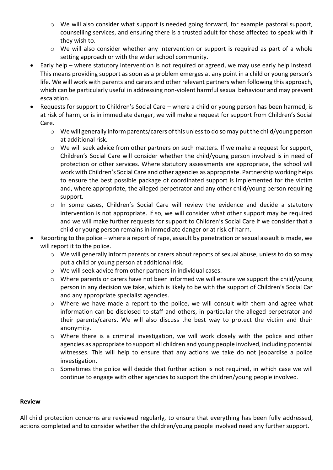- o We will also consider what support is needed going forward, for example pastoral support, counselling services, and ensuring there is a trusted adult for those affected to speak with if they wish to.
- o We will also consider whether any intervention or support is required as part of a whole setting approach or with the wider school community.
- Early help where statutory intervention is not required or agreed, we may use early help instead. This means providing support as soon as a problem emerges at any point in a child or young person's life. We will work with parents and carers and other relevant partners when following this approach, which can be particularly useful in addressing non-violent harmful sexual behaviour and may prevent escalation.
- Requests for support to Children's Social Care where a child or young person has been harmed, is at risk of harm, or is in immediate danger, we will make a request for support from Children's Social Care.
	- $\circ$  We will generally inform parents/carers of this unless to do so may put the child/young person at additional risk.
	- $\circ$  We will seek advice from other partners on such matters. If we make a request for support, Children's Social Care will consider whether the child/young person involved is in need of protection or other services. Where statutory assessments are appropriate, the school will work with Children's Social Care and other agencies as appropriate. Partnership working helps to ensure the best possible package of coordinated support is implemented for the victim and, where appropriate, the alleged perpetrator and any other child/young person requiring support.
	- o In some cases, Children's Social Care will review the evidence and decide a statutory intervention is not appropriate. If so, we will consider what other support may be required and we will make further requests for support to Children's Social Care if we consider that a child or young person remains in immediate danger or at risk of harm.
- Reporting to the police where a report of rape, assault by penetration or sexual assault is made, we will report it to the police.
	- o We will generally inform parents or carers about reports of sexual abuse, unless to do so may put a child or young person at additional risk.
	- o We will seek advice from other partners in individual cases.
	- $\circ$  Where parents or carers have not been informed we will ensure we support the child/young person in any decision we take, which is likely to be with the support of Children's Social Car and any appropriate specialist agencies.
	- o Where we have made a report to the police, we will consult with them and agree what information can be disclosed to staff and others, in particular the alleged perpetrator and their parents/carers. We will also discuss the best way to protect the victim and their anonymity.
	- $\circ$  Where there is a criminal investigation, we will work closely with the police and other agencies as appropriate to support all children and young people involved, including potential witnesses. This will help to ensure that any actions we take do not jeopardise a police investigation.
	- o Sometimes the police will decide that further action is not required, in which case we will continue to engage with other agencies to support the children/young people involved.

#### **Review**

All child protection concerns are reviewed regularly, to ensure that everything has been fully addressed, actions completed and to consider whether the children/young people involved need any further support.